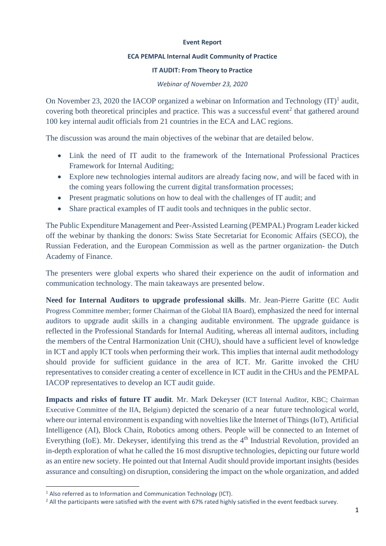## **Event Report**

## **ECA PEMPAL Internal Audit Community of Practice**

## **IT AUDIT: From Theory to Practice**

## *Webinar of November 23, 2020*

On November 23, 2020 the IACOP organized a webinar on Information and Technology  $(IT)^{1}$  audit, covering both theoretical principles and practice. This was a successful event<sup>2</sup> that gathered around 100 key internal audit officials from 21 countries in the ECA and LAC regions.

The discussion was around the main objectives of the webinar that are detailed below.

- Link the need of IT audit to the framework of the International Professional Practices Framework for Internal Auditing;
- Explore new technologies internal auditors are already facing now, and will be faced with in the coming years following the current digital transformation processes;
- Present pragmatic solutions on how to deal with the challenges of IT audit; and
- Share practical examples of IT audit tools and techniques in the public sector.

The Public Expenditure Management and Peer-Assisted Learning (PEMPAL) Program Leader kicked off the webinar by thanking the donors: Swiss State Secretariat for Economic Affairs (SECO), the Russian Federation, and the European Commission as well as the partner organization- the Dutch Academy of Finance.

The presenters were global experts who shared their experience on the audit of information and communication technology. The main takeaways are presented below.

**Need for Internal Auditors to upgrade professional skills**. Mr. Jean-Pierre Garitte (EC Audit Progress Committee member; former Chairman of the Global IIA Board), emphasized the need for internal auditors to upgrade audit skills in a changing auditable environment. The upgrade guidance is reflected in the Professional Standards for Internal Auditing, whereas all internal auditors, including the members of the Central Harmonization Unit (CHU), should have a sufficient level of knowledge in ICT and apply ICT tools when performing their work. This implies that internal audit methodology should provide for sufficient guidance in the area of ICT. Mr. Garitte invoked the CHU representatives to consider creating a center of excellence in ICT audit in the CHUs and the PEMPAL IACOP representatives to develop an ICT audit guide.

**Impacts and risks of future IT audit**. Mr. Mark Dekeyser (ICT Internal Auditor, KBC; Chairman Executive Committee of the IIA, Belgium) depicted the scenario of a near future technological world, where our internal environment is expanding with novelties like the Internet of Things (IoT), Artificial Intelligence (AI), Block Chain, Robotics among others. People will be connected to an Internet of Everything (IoE). Mr. Dekeyser, identifying this trend as the 4<sup>th</sup> Industrial Revolution, provided an in-depth exploration of what he called the 16 most disruptive technologies, depicting our future world as an entire new society. He pointed out that Internal Audit should provide important insights (besides assurance and consulting) on disruption, considering the impact on the whole organization, and added

<sup>&</sup>lt;sup>1</sup> Also referred as to Information and Communication Technology (ICT).

<sup>&</sup>lt;sup>2</sup> All the participants were satisfied with the event with 67% rated highly satisfied in the event feedback survey.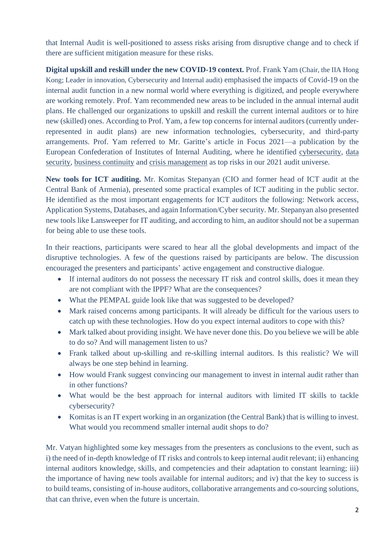that Internal Audit is well-positioned to assess risks arising from disruptive change and to check if there are sufficient mitigation measure for these risks.

**Digital upskill and reskill under the new COVID-19 context.** Prof. Frank Yam (Chair, the IIA Hong Kong; Leader in innovation, Cybersecurity and Internal audit) emphasised the impacts of Covid-19 on the internal audit function in a new normal world where everything is digitized, and people everywhere are working remotely. Prof. Yam recommended new areas to be included in the annual internal audit plans. He challenged our organizations to upskill and reskill the current internal auditors or to hire new (skilled) ones. According to Prof. Yam, a few top concerns for internal auditors (currently underrepresented in audit plans) are new information technologies, cybersecurity, and third-party arrangements. Prof. Yam referred to Mr. Garitte's article in Focus 2021—a publication by the European Confederation of Institutes of Internal Auditing, where he identified cybersecurity, data security, business continuity and crisis management as top risks in our 2021 audit universe.

**New tools for ICT auditing.** Mr. Komitas Stepanyan (CIO and former head of ICT audit at the Central Bank of Armenia), presented some practical examples of ICT auditing in the public sector. He identified as the most important engagements for ICT auditors the following: Network access, Application Systems, Databases, and again Information/Cyber security. Mr. Stepanyan also presented new tools like Lansweeper for IT auditing, and according to him, an auditor should not be a superman for being able to use these tools.

In their reactions, participants were scared to hear all the global developments and impact of the disruptive technologies. A few of the questions raised by participants are below. The discussion encouraged the presenters and participants' active engagement and constructive dialogue.

- If internal auditors do not possess the necessary IT risk and control skills, does it mean they are not compliant with the IPPF? What are the consequences?
- What the PEMPAL guide look like that was suggested to be developed?
- Mark raised concerns among participants. It will already be difficult for the various users to catch up with these technologies. How do you expect internal auditors to cope with this?
- Mark talked about providing insight. We have never done this. Do you believe we will be able to do so? And will management listen to us?
- Frank talked about up-skilling and re-skilling internal auditors. Is this realistic? We will always be one step behind in learning.
- How would Frank suggest convincing our management to invest in internal audit rather than in other functions?
- What would be the best approach for internal auditors with limited IT skills to tackle cybersecurity?
- Komitas is an IT expert working in an organization (the Central Bank) that is willing to invest. What would you recommend smaller internal audit shops to do?

Mr. Vatyan highlighted some key messages from the presenters as conclusions to the event, such as i) the need of in-depth knowledge of IT risks and controls to keep internal audit relevant; ii) enhancing internal auditors knowledge, skills, and competencies and their adaptation to constant learning; iii) the importance of having new tools available for internal auditors; and iv) that the key to success is to build teams, consisting of in-house auditors, collaborative arrangements and co-sourcing solutions, that can thrive, even when the future is uncertain.